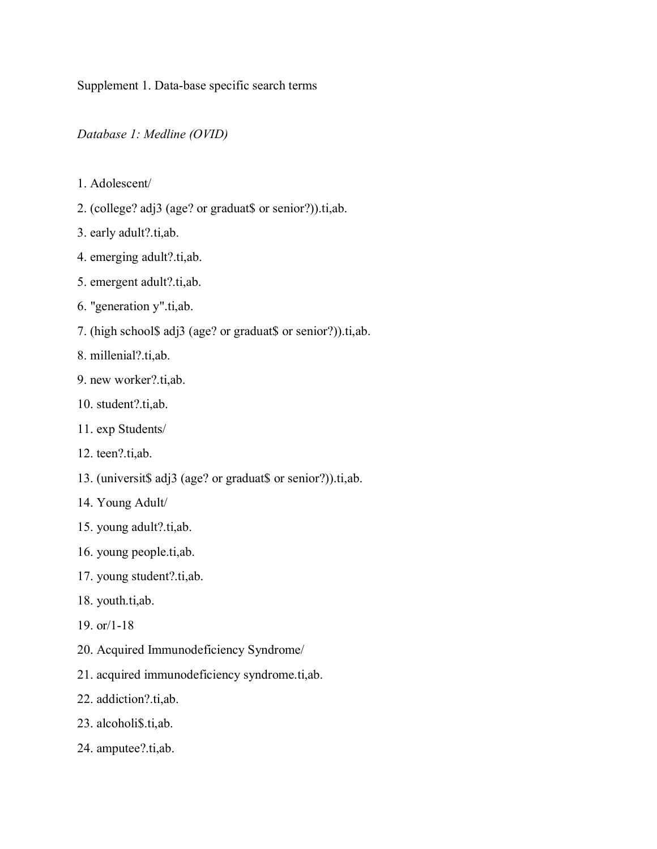Supplement 1. Data-base specific search terms

*Database 1: Medline (OVID)* 

- 1. Adolescent/
- 2. (college? adj3 (age? or graduat\$ or senior?)).ti,ab.
- 3. early adult?.ti,ab.
- 4. emerging adult?.ti,ab.
- 5. emergent adult?.ti,ab.
- 6. "generation y".ti,ab.
- 7. (high school\$ adj3 (age? or graduat\$ or senior?)).ti,ab.
- 8. millenial?.ti,ab.
- 9. new worker?.ti,ab.
- 10. student?.ti,ab.
- 11. exp Students/
- 12. teen?.ti,ab.
- 13. (universit\$ adj3 (age? or graduat\$ or senior?)).ti,ab.
- 14. Young Adult/
- 15. young adult?.ti,ab.
- 16. young people.ti,ab.
- 17. young student?.ti,ab.
- 18. youth.ti,ab.
- 19. or/1-18
- 20. Acquired Immunodeficiency Syndrome/
- 21. acquired immunodeficiency syndrome.ti,ab.
- 22. addiction?.ti,ab.
- 23. alcoholi\$.ti,ab.
- 24. amputee?.ti,ab.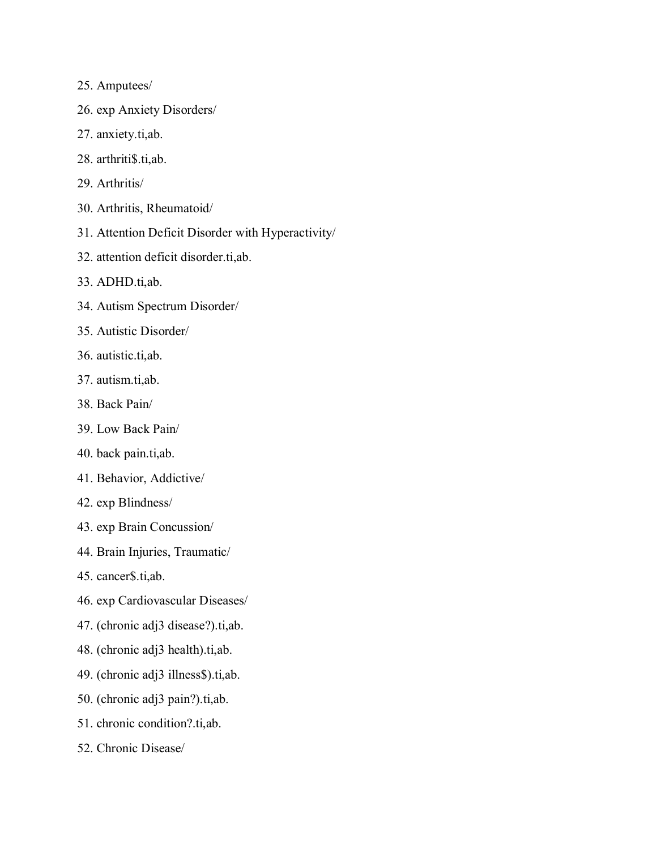- 25. Amputees/
- 26. exp Anxiety Disorders/
- 27. anxiety.ti,ab.
- 28. arthriti\$.ti,ab.
- 29. Arthritis/
- 30. Arthritis, Rheumatoid/
- 31. Attention Deficit Disorder with Hyperactivity/
- 32. attention deficit disorder.ti,ab.
- 33. ADHD.ti,ab.
- 34. Autism Spectrum Disorder/
- 35. Autistic Disorder/
- 36. autistic.ti,ab.
- 37. autism.ti,ab.
- 38. Back Pain/
- 39. Low Back Pain/
- 40. back pain.ti,ab.
- 41. Behavior, Addictive/
- 42. exp Blindness/
- 43. exp Brain Concussion/
- 44. Brain Injuries, Traumatic/
- 45. cancer\$.ti,ab.
- 46. exp Cardiovascular Diseases/
- 47. (chronic adj3 disease?).ti,ab.
- 48. (chronic adj3 health).ti,ab.
- 49. (chronic adj3 illness\$).ti,ab.
- 50. (chronic adj3 pain?).ti,ab.
- 51. chronic condition?.ti,ab.
- 52. Chronic Disease/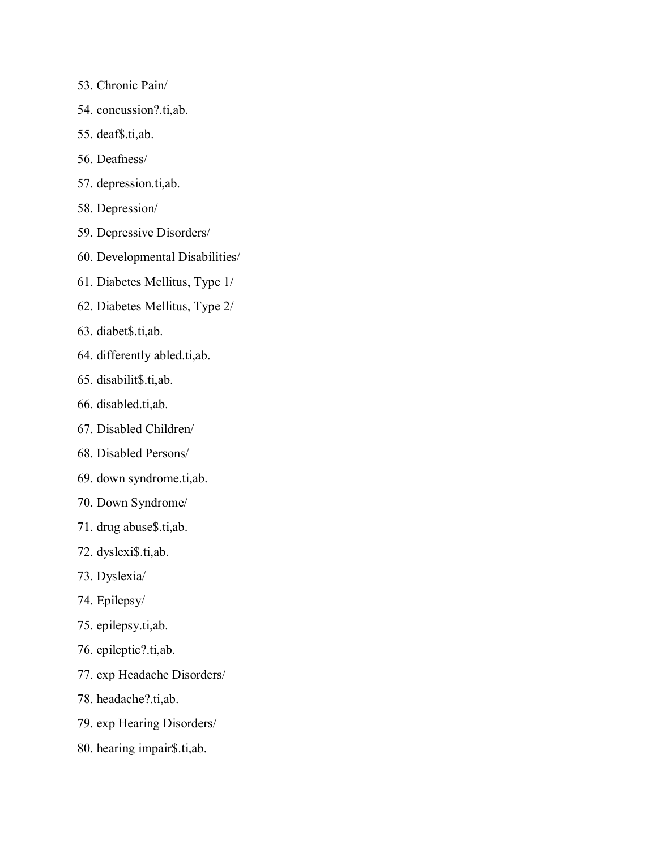- 53. Chronic Pain/
- 54. concussion?.ti,ab.
- 55. deaf\$.ti,ab.
- 56. Deafness/
- 57. depression.ti,ab.
- 58. Depression/
- 59. Depressive Disorders/
- 60. Developmental Disabilities/
- 61. Diabetes Mellitus, Type 1/
- 62. Diabetes Mellitus, Type 2/
- 63. diabet\$.ti,ab.
- 64. differently abled.ti,ab.
- 65. disabilit\$.ti,ab.
- 66. disabled.ti,ab.
- 67. Disabled Children/
- 68. Disabled Persons/
- 69. down syndrome.ti,ab.
- 70. Down Syndrome/
- 71. drug abuse\$.ti,ab.
- 72. dyslexi\$.ti,ab.
- 73. Dyslexia/
- 74. Epilepsy/
- 75. epilepsy.ti,ab.
- 76. epileptic?.ti,ab.
- 77. exp Headache Disorders/
- 78. headache?.ti,ab.
- 79. exp Hearing Disorders/
- 80. hearing impair\$.ti,ab.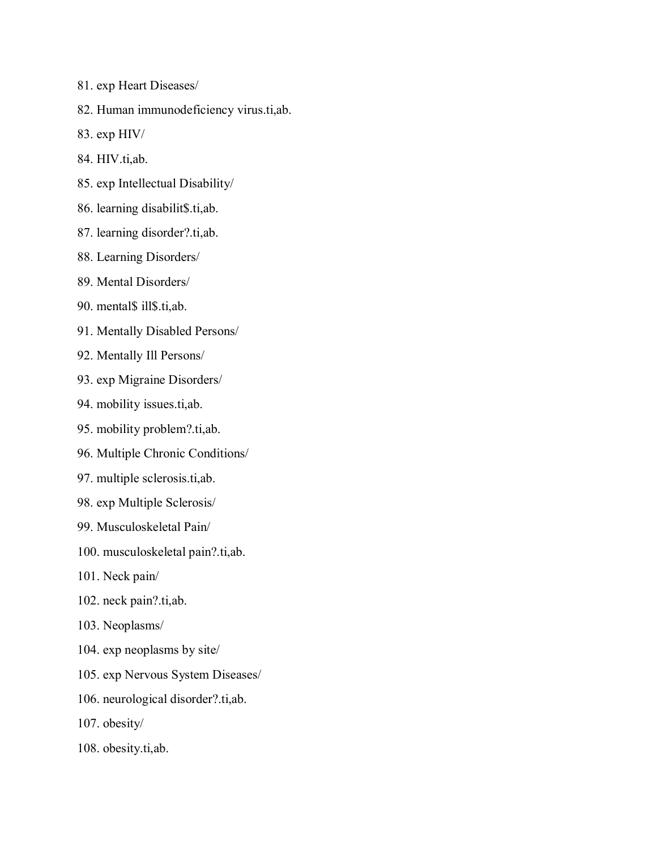- 81. exp Heart Diseases/
- 82. Human immunodeficiency virus.ti,ab.
- 83. exp HIV/
- 84. HIV.ti,ab.
- 85. exp Intellectual Disability/
- 86. learning disabilit\$.ti,ab.
- 87. learning disorder?.ti,ab.
- 88. Learning Disorders/
- 89. Mental Disorders/
- 90. mental\$ ill\$.ti,ab.
- 91. Mentally Disabled Persons/
- 92. Mentally Ill Persons/
- 93. exp Migraine Disorders/
- 94. mobility issues.ti,ab.
- 95. mobility problem?.ti,ab.
- 96. Multiple Chronic Conditions/
- 97. multiple sclerosis.ti,ab.
- 98. exp Multiple Sclerosis/
- 99. Musculoskeletal Pain/
- 100. musculoskeletal pain?.ti,ab.
- 101. Neck pain/
- 102. neck pain?.ti,ab.
- 103. Neoplasms/
- 104. exp neoplasms by site/
- 105. exp Nervous System Diseases/
- 106. neurological disorder?.ti,ab.
- 107. obesity/
- 108. obesity.ti,ab.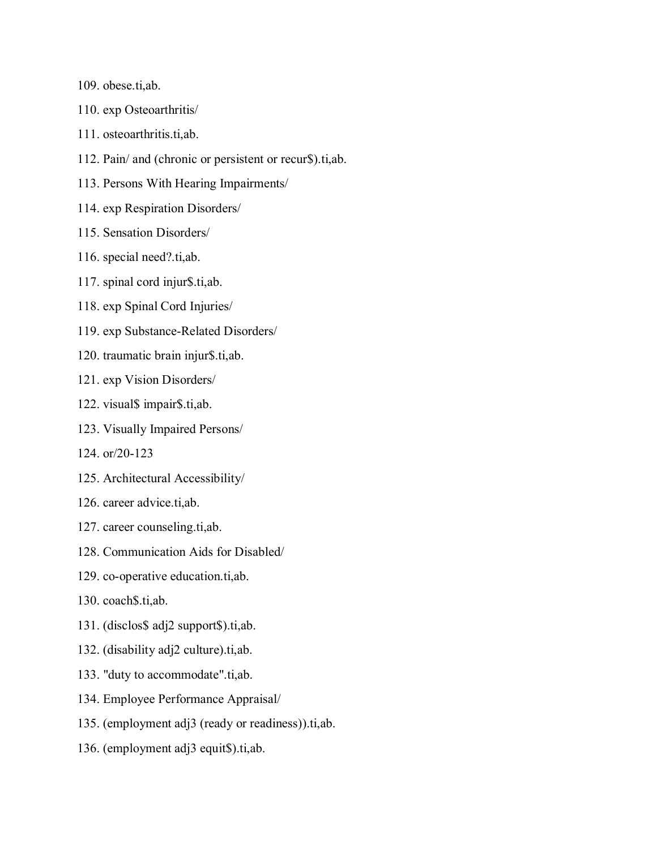109. obese.ti,ab.

- 110. exp Osteoarthritis/
- 111. osteoarthritis.ti,ab.
- 112. Pain/ and (chronic or persistent or recur\$).ti,ab.
- 113. Persons With Hearing Impairments/
- 114. exp Respiration Disorders/
- 115. Sensation Disorders/
- 116. special need?.ti,ab.
- 117. spinal cord injur\$.ti,ab.
- 118. exp Spinal Cord Injuries/
- 119. exp Substance-Related Disorders/
- 120. traumatic brain injur\$.ti,ab.
- 121. exp Vision Disorders/
- 122. visual\$ impair\$.ti,ab.
- 123. Visually Impaired Persons/
- 124. or/20-123
- 125. Architectural Accessibility/
- 126. career advice.ti,ab.
- 127. career counseling.ti,ab.
- 128. Communication Aids for Disabled/
- 129. co-operative education.ti,ab.
- 130. coach\$.ti,ab.
- 131. (disclos\$ adj2 support\$).ti,ab.
- 132. (disability adj2 culture).ti,ab.
- 133. "duty to accommodate".ti,ab.
- 134. Employee Performance Appraisal/
- 135. (employment adj3 (ready or readiness)).ti,ab.
- 136. (employment adj3 equit\$).ti,ab.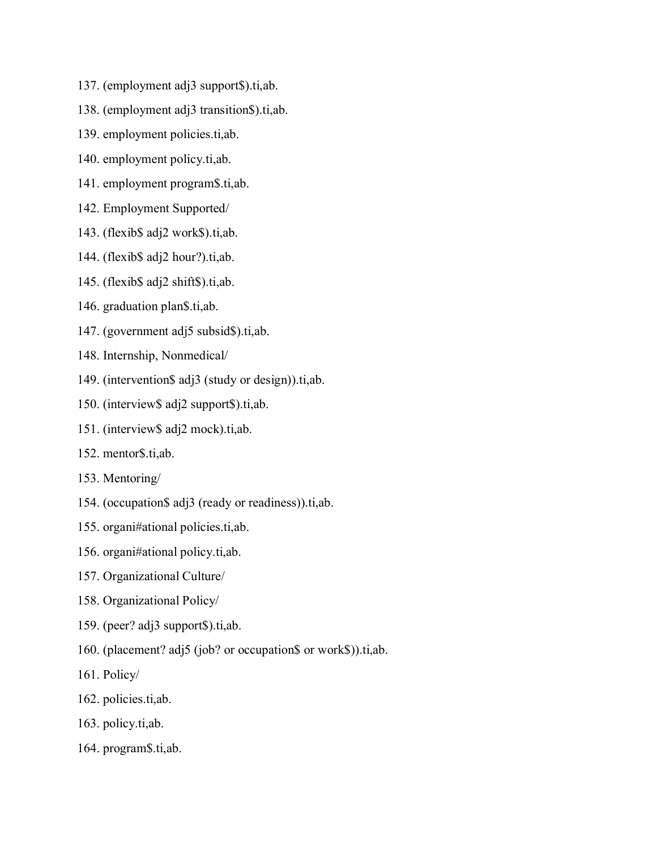- 137. (employment adj3 support\$).ti,ab.
- 138. (employment adj3 transition\$).ti,ab.
- 139. employment policies.ti,ab.
- 140. employment policy.ti,ab.
- 141. employment program\$.ti,ab.
- 142. Employment Supported/
- 143. (flexib\$ adj2 work\$).ti,ab.
- 144. (flexib\$ adj2 hour?).ti,ab.
- 145. (flexib\$ adj2 shift\$).ti,ab.
- 146. graduation plan\$.ti,ab.
- 147. (government adj5 subsid\$).ti,ab.
- 148. Internship, Nonmedical/
- 149. (intervention\$ adj3 (study or design)).ti,ab.
- 150. (interview\$ adj2 support\$).ti,ab.
- 151. (interview\$ adj2 mock).ti,ab.
- 152. mentor\$.ti,ab.
- 153. Mentoring/
- 154. (occupation\$ adj3 (ready or readiness)).ti,ab.
- 155. organi#ational policies.ti,ab.
- 156. organi#ational policy.ti,ab.
- 157. Organizational Culture/
- 158. Organizational Policy/
- 159. (peer? adj3 support\$).ti,ab.
- 160. (placement? adj5 (job? or occupation\$ or work\$)).ti,ab.
- 161. Policy/
- 162. policies.ti,ab.
- 163. policy.ti,ab.
- 164. program\$.ti,ab.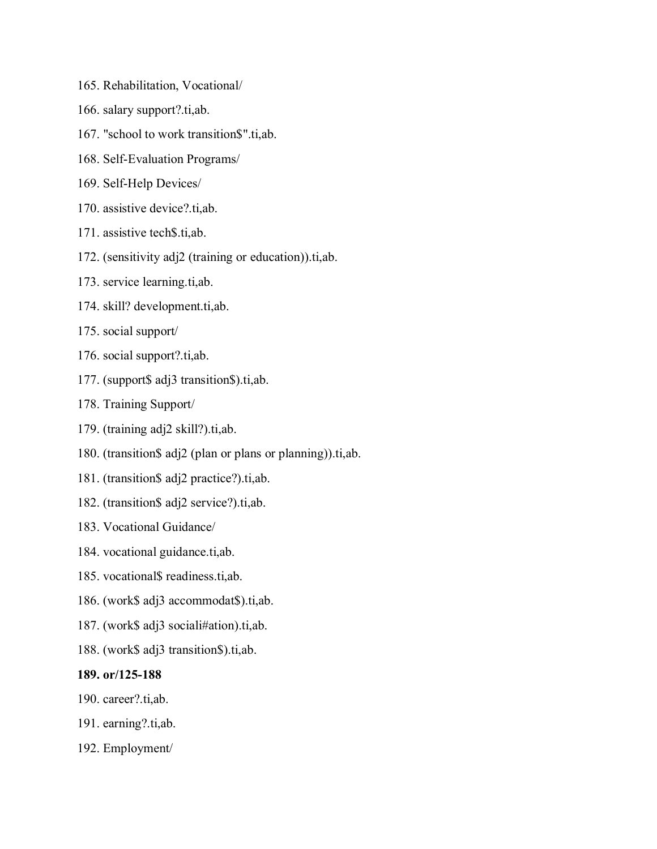- 165. Rehabilitation, Vocational/
- 166. salary support?.ti,ab.
- 167. "school to work transition\$".ti,ab.
- 168. Self-Evaluation Programs/
- 169. Self-Help Devices/
- 170. assistive device?.ti,ab.
- 171. assistive tech\$.ti,ab.
- 172. (sensitivity adj2 (training or education)).ti,ab.
- 173. service learning.ti,ab.
- 174. skill? development.ti,ab.
- 175. social support/
- 176. social support?.ti,ab.
- 177. (support\$ adj3 transition\$).ti,ab.
- 178. Training Support/
- 179. (training adj2 skill?).ti,ab.
- 180. (transition\$ adj2 (plan or plans or planning)).ti,ab.
- 181. (transition\$ adj2 practice?).ti,ab.
- 182. (transition\$ adj2 service?).ti,ab.
- 183. Vocational Guidance/
- 184. vocational guidance.ti,ab.
- 185. vocational\$ readiness.ti,ab.
- 186. (work\$ adj3 accommodat\$).ti,ab.
- 187. (work\$ adj3 sociali#ation).ti,ab.
- 188. (work\$ adj3 transition\$).ti,ab.

## **189. or/125-188**

- 190. career?.ti,ab.
- 191. earning?.ti,ab.
- 192. Employment/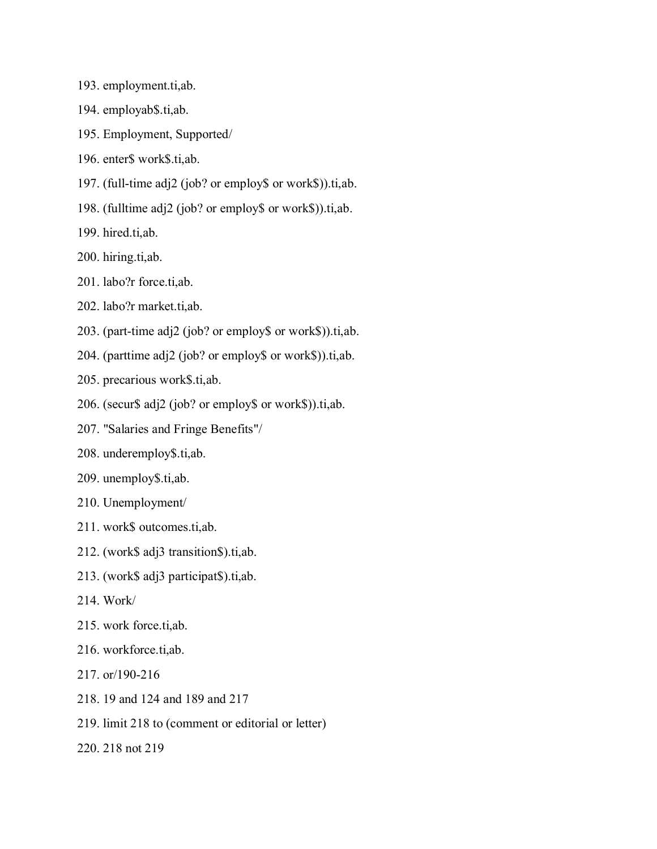- 193. employment.ti,ab.
- 194. employab\$.ti,ab.
- 195. Employment, Supported/
- 196. enter\$ work\$.ti,ab.
- 197. (full-time adj2 (job? or employ\$ or work\$)).ti,ab.
- 198. (fulltime adj2 (job? or employ\$ or work\$)).ti,ab.
- 199. hired.ti,ab.
- 200. hiring.ti,ab.
- 201. labo?r force.ti,ab.
- 202. labo?r market.ti,ab.
- 203. (part-time adj2 (job? or employ\$ or work\$)).ti,ab.
- 204. (parttime adj2 (job? or employ\$ or work\$)).ti,ab.
- 205. precarious work\$.ti,ab.
- 206. (secur\$ adj2 (job? or employ\$ or work\$)).ti,ab.
- 207. "Salaries and Fringe Benefits"/
- 208. underemploy\$.ti,ab.
- 209. unemploy\$.ti,ab.
- 210. Unemployment/
- 211. work\$ outcomes.ti,ab.
- 212. (work\$ adj3 transition\$).ti,ab.
- 213. (work\$ adj3 participat\$).ti,ab.
- 214. Work/
- 215. work force.ti,ab.
- 216. workforce.ti,ab.
- 217. or/190-216
- 218. 19 and 124 and 189 and 217
- 219. limit 218 to (comment or editorial or letter)
- 220. 218 not 219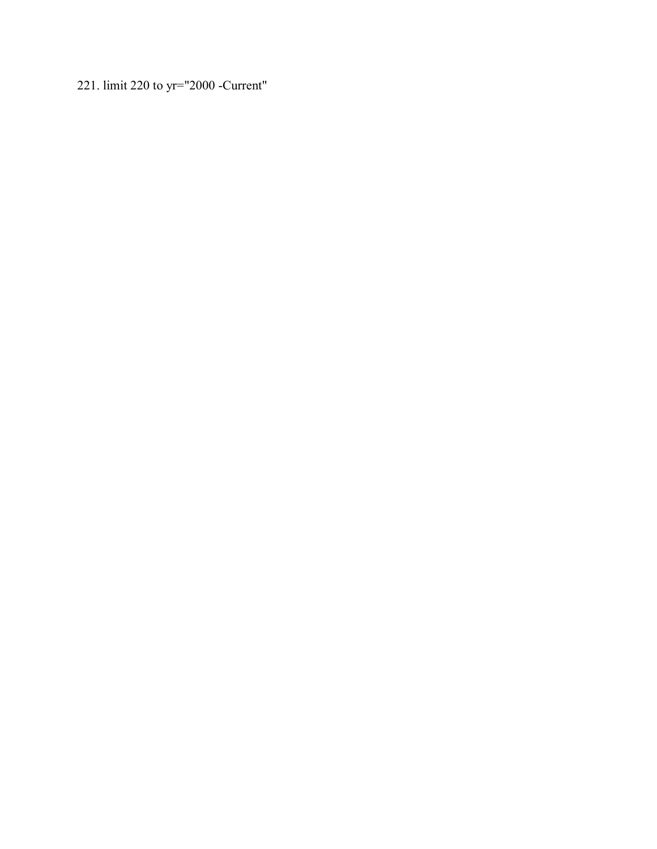221. limit 220 to yr="2000 -Current"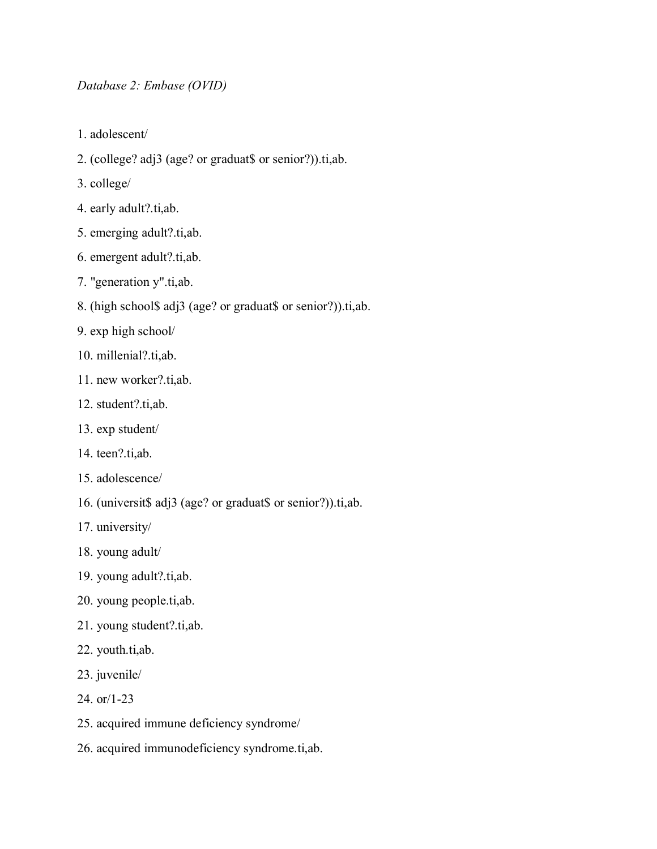## *Database 2: Embase (OVID)*

- 1. adolescent/
- 2. (college? adj3 (age? or graduat\$ or senior?)).ti,ab.
- 3. college/
- 4. early adult?.ti,ab.
- 5. emerging adult?.ti,ab.
- 6. emergent adult?.ti,ab.
- 7. "generation y".ti,ab.
- 8. (high school\$ adj3 (age? or graduat\$ or senior?)).ti,ab.
- 9. exp high school/
- 10. millenial?.ti,ab.
- 11. new worker?.ti,ab.
- 12. student?.ti,ab.
- 13. exp student/
- 14. teen?.ti,ab.
- 15. adolescence/
- 16. (universit\$ adj3 (age? or graduat\$ or senior?)).ti,ab.
- 17. university/
- 18. young adult/
- 19. young adult?.ti,ab.
- 20. young people.ti,ab.
- 21. young student?.ti,ab.
- 22. youth.ti,ab.
- 23. juvenile/
- 24. or/1-23
- 25. acquired immune deficiency syndrome/
- 26. acquired immunodeficiency syndrome.ti,ab.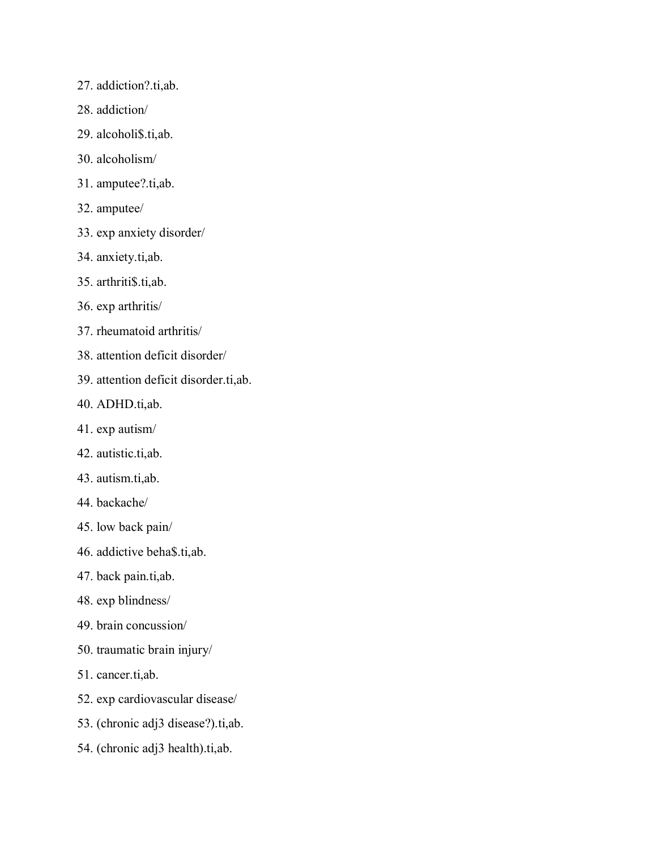- 27. addiction?.ti,ab.
- 28. addiction/
- 29. alcoholi\$.ti,ab.
- 30. alcoholism/
- 31. amputee?.ti,ab.
- 32. amputee/
- 33. exp anxiety disorder/
- 34. anxiety.ti,ab.
- 35. arthriti\$.ti,ab.
- 36. exp arthritis/
- 37. rheumatoid arthritis/
- 38. attention deficit disorder/
- 39. attention deficit disorder.ti,ab.
- 40. ADHD.ti,ab.
- 41. exp autism/
- 42. autistic.ti,ab.
- 43. autism.ti,ab.
- 44. backache/
- 45. low back pain/
- 46. addictive beha\$.ti,ab.
- 47. back pain.ti,ab.
- 48. exp blindness/
- 49. brain concussion/
- 50. traumatic brain injury/
- 51. cancer.ti,ab.
- 52. exp cardiovascular disease/
- 53. (chronic adj3 disease?).ti,ab.
- 54. (chronic adj3 health).ti,ab.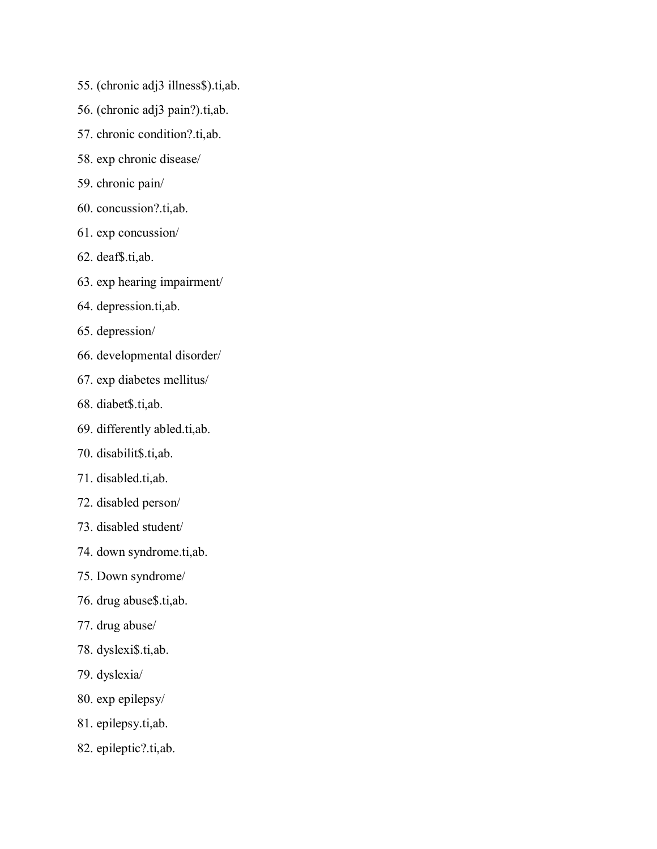- 55. (chronic adj3 illness\$).ti,ab.
- 56. (chronic adj3 pain?).ti,ab.
- 57. chronic condition?.ti,ab.
- 58. exp chronic disease/
- 59. chronic pain/
- 60. concussion?.ti,ab.
- 61. exp concussion/
- 62. deaf\$.ti,ab.
- 63. exp hearing impairment/
- 64. depression.ti,ab.
- 65. depression/
- 66. developmental disorder/
- 67. exp diabetes mellitus/
- 68. diabet\$.ti,ab.
- 69. differently abled.ti,ab.
- 70. disabilit\$.ti,ab.
- 71. disabled.ti,ab.
- 72. disabled person/
- 73. disabled student/
- 74. down syndrome.ti,ab.
- 75. Down syndrome/
- 76. drug abuse\$.ti,ab.
- 77. drug abuse/
- 78. dyslexi\$.ti,ab.
- 79. dyslexia/
- 80. exp epilepsy/
- 81. epilepsy.ti,ab.
- 82. epileptic?.ti,ab.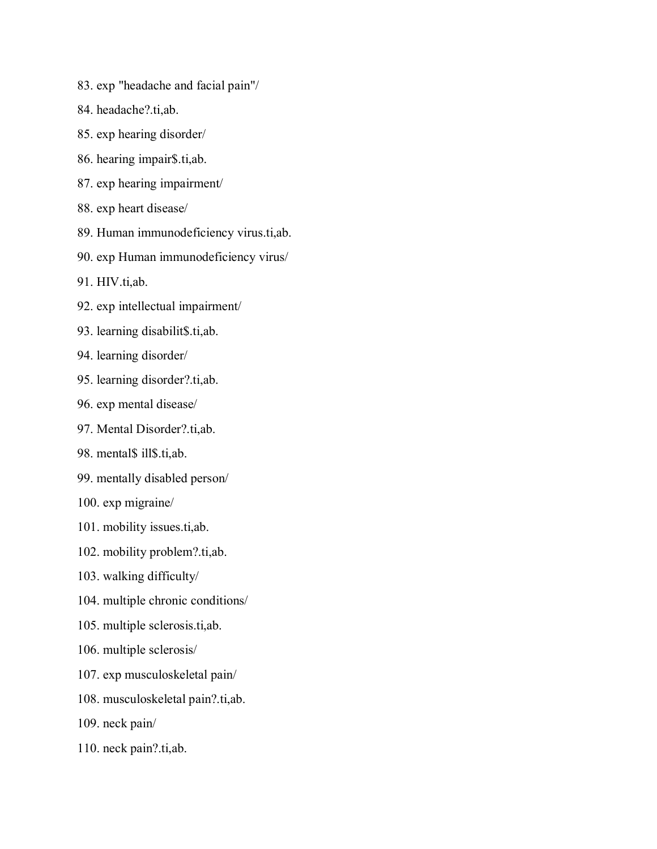- 83. exp "headache and facial pain"/
- 84. headache?.ti,ab.
- 85. exp hearing disorder/
- 86. hearing impair\$.ti,ab.
- 87. exp hearing impairment/
- 88. exp heart disease/
- 89. Human immunodeficiency virus.ti,ab.
- 90. exp Human immunodeficiency virus/
- 91. HIV.ti,ab.
- 92. exp intellectual impairment/
- 93. learning disabilit\$.ti,ab.
- 94. learning disorder/
- 95. learning disorder?.ti,ab.
- 96. exp mental disease/
- 97. Mental Disorder?.ti,ab.
- 98. mental\$ ill\$.ti,ab.
- 99. mentally disabled person/
- 100. exp migraine/
- 101. mobility issues.ti,ab.
- 102. mobility problem?.ti,ab.
- 103. walking difficulty/
- 104. multiple chronic conditions/
- 105. multiple sclerosis.ti,ab.
- 106. multiple sclerosis/
- 107. exp musculoskeletal pain/
- 108. musculoskeletal pain?.ti,ab.
- 109. neck pain/
- 110. neck pain?.ti,ab.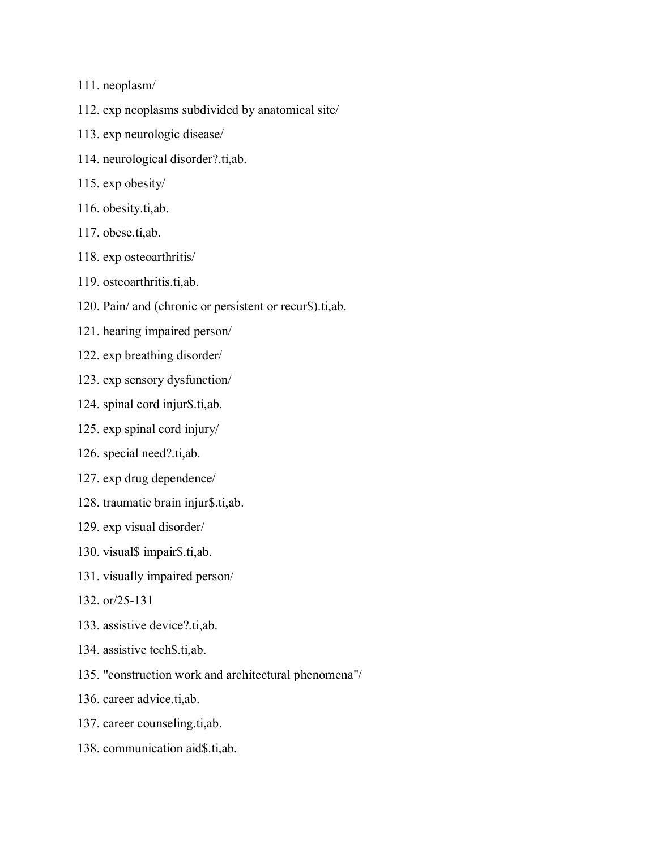- 111. neoplasm/
- 112. exp neoplasms subdivided by anatomical site/
- 113. exp neurologic disease/
- 114. neurological disorder?.ti,ab.
- 115. exp obesity/
- 116. obesity.ti,ab.
- 117. obese.ti,ab.
- 118. exp osteoarthritis/
- 119. osteoarthritis.ti,ab.
- 120. Pain/ and (chronic or persistent or recur\$).ti,ab.
- 121. hearing impaired person/
- 122. exp breathing disorder/
- 123. exp sensory dysfunction/
- 124. spinal cord injur\$.ti,ab.
- 125. exp spinal cord injury/
- 126. special need?.ti,ab.
- 127. exp drug dependence/
- 128. traumatic brain injur\$.ti,ab.
- 129. exp visual disorder/
- 130. visual\$ impair\$.ti,ab.
- 131. visually impaired person/
- 132. or/25-131
- 133. assistive device?.ti,ab.
- 134. assistive tech\$.ti,ab.
- 135. "construction work and architectural phenomena"/
- 136. career advice.ti,ab.
- 137. career counseling.ti,ab.
- 138. communication aid\$.ti,ab.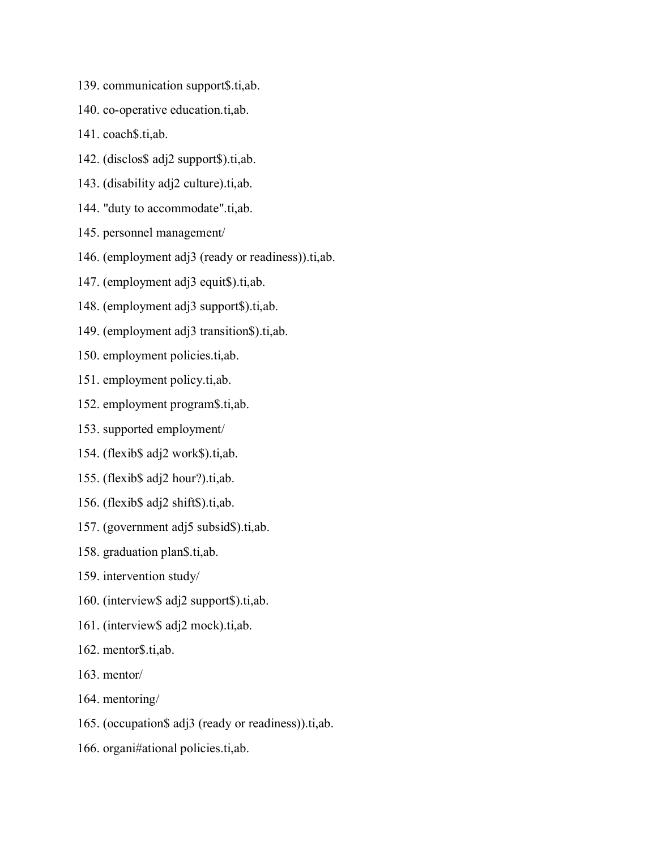- 139. communication support\$.ti,ab.
- 140. co-operative education.ti,ab.
- 141. coach\$.ti,ab.
- 142. (disclos\$ adj2 support\$).ti,ab.
- 143. (disability adj2 culture).ti,ab.
- 144. "duty to accommodate".ti,ab.
- 145. personnel management/
- 146. (employment adj3 (ready or readiness)).ti,ab.
- 147. (employment adj3 equit\$).ti,ab.
- 148. (employment adj3 support\$).ti,ab.
- 149. (employment adj3 transition\$).ti,ab.
- 150. employment policies.ti,ab.
- 151. employment policy.ti,ab.
- 152. employment program\$.ti,ab.
- 153. supported employment/
- 154. (flexib\$ adj2 work\$).ti,ab.
- 155. (flexib\$ adj2 hour?).ti,ab.
- 156. (flexib\$ adj2 shift\$).ti,ab.
- 157. (government adj5 subsid\$).ti,ab.
- 158. graduation plan\$.ti,ab.
- 159. intervention study/
- 160. (interview\$ adj2 support\$).ti,ab.
- 161. (interview\$ adj2 mock).ti,ab.
- 162. mentor\$.ti,ab.
- 163. mentor/
- 164. mentoring/
- 165. (occupation\$ adj3 (ready or readiness)).ti,ab.
- 166. organi#ational policies.ti,ab.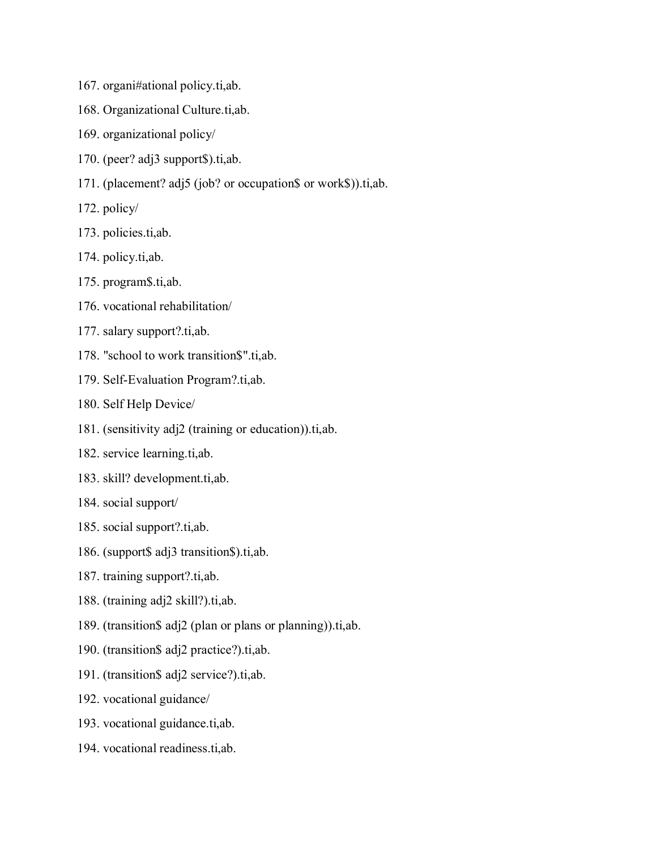- 167. organi#ational policy.ti,ab.
- 168. Organizational Culture.ti,ab.
- 169. organizational policy/
- 170. (peer? adj3 support\$).ti,ab.
- 171. (placement? adj5 (job? or occupation\$ or work\$)).ti,ab.
- 172. policy/
- 173. policies.ti,ab.
- 174. policy.ti,ab.
- 175. program\$.ti,ab.
- 176. vocational rehabilitation/
- 177. salary support?.ti,ab.
- 178. "school to work transition\$".ti,ab.
- 179. Self-Evaluation Program?.ti,ab.
- 180. Self Help Device/
- 181. (sensitivity adj2 (training or education)).ti,ab.
- 182. service learning.ti,ab.
- 183. skill? development.ti,ab.
- 184. social support/
- 185. social support?.ti,ab.
- 186. (support\$ adj3 transition\$).ti,ab.
- 187. training support?.ti,ab.
- 188. (training adj2 skill?).ti,ab.
- 189. (transition\$ adj2 (plan or plans or planning)).ti,ab.
- 190. (transition\$ adj2 practice?).ti,ab.
- 191. (transition\$ adj2 service?).ti,ab.
- 192. vocational guidance/
- 193. vocational guidance.ti,ab.
- 194. vocational readiness.ti,ab.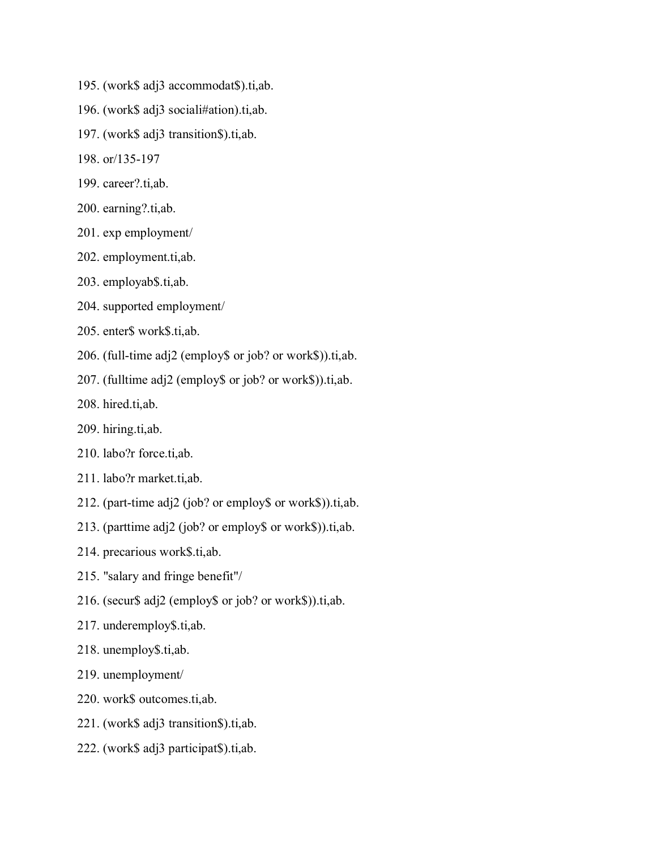- 195. (work\$ adj3 accommodat\$).ti,ab.
- 196. (work\$ adj3 sociali#ation).ti,ab.
- 197. (work\$ adj3 transition\$).ti,ab.
- 198. or/135-197
- 199. career?.ti,ab.
- 200. earning?.ti,ab.
- 201. exp employment/
- 202. employment.ti,ab.
- 203. employab\$.ti,ab.
- 204. supported employment/
- 205. enter\$ work\$.ti,ab.
- 206. (full-time adj2 (employ\$ or job? or work\$)).ti,ab.
- 207. (fulltime adj2 (employ\$ or job? or work\$)).ti,ab.
- 208. hired.ti,ab.
- 209. hiring.ti,ab.
- 210. labo?r force.ti,ab.
- 211. labo?r market.ti,ab.
- 212. (part-time adj2 (job? or employ\$ or work\$)).ti,ab.
- 213. (parttime adj2 (job? or employ\$ or work\$)).ti,ab.
- 214. precarious work\$.ti,ab.
- 215. "salary and fringe benefit"/
- 216. (secur\$ adj2 (employ\$ or job? or work\$)).ti,ab.
- 217. underemploy\$.ti,ab.
- 218. unemploy\$.ti,ab.
- 219. unemployment/
- 220. work\$ outcomes.ti,ab.
- 221. (work\$ adj3 transition\$).ti,ab.
- 222. (work\$ adj3 participat\$).ti,ab.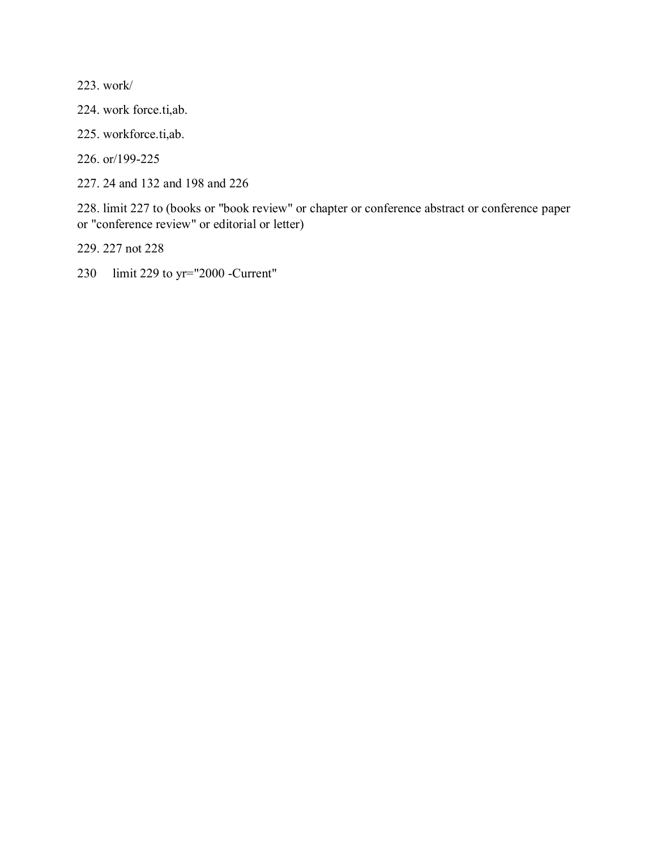223. work/

224. work force.ti,ab.

225. workforce.ti,ab.

226. or/199-225

227. 24 and 132 and 198 and 226

228. limit 227 to (books or "book review" or chapter or conference abstract or conference paper or "conference review" or editorial or letter)

229. 227 not 228

230 limit 229 to yr="2000 -Current"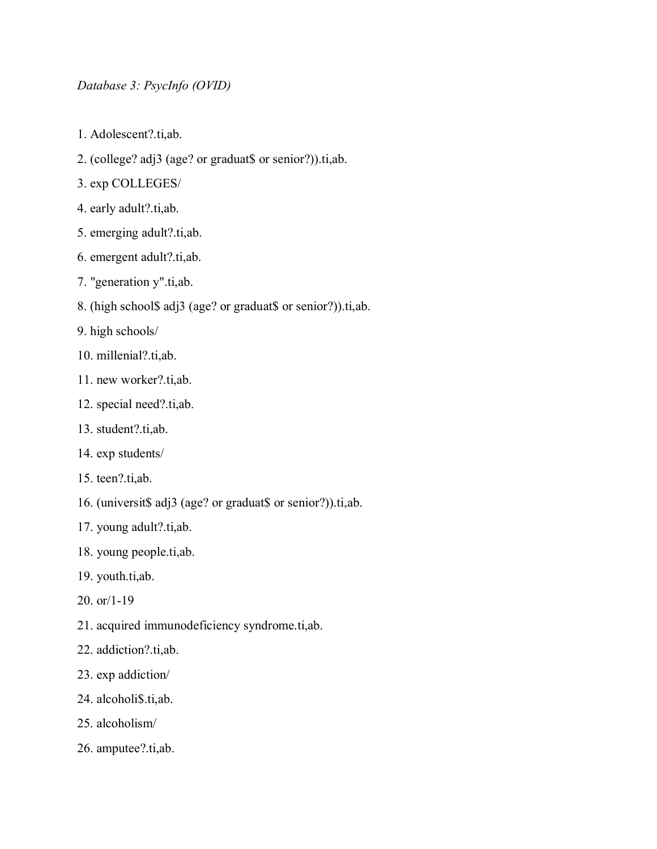## *Database 3: PsycInfo (OVID)*

- 1. Adolescent?.ti,ab.
- 2. (college? adj3 (age? or graduat\$ or senior?)).ti,ab.
- 3. exp COLLEGES/
- 4. early adult?.ti,ab.
- 5. emerging adult?.ti,ab.
- 6. emergent adult?.ti,ab.
- 7. "generation y".ti,ab.
- 8. (high school\$ adj3 (age? or graduat\$ or senior?)).ti,ab.
- 9. high schools/
- 10. millenial?.ti,ab.
- 11. new worker?.ti,ab.
- 12. special need?.ti,ab.
- 13. student?.ti,ab.
- 14. exp students/
- 15. teen?.ti,ab.
- 16. (universit\$ adj3 (age? or graduat\$ or senior?)).ti,ab.
- 17. young adult?.ti,ab.
- 18. young people.ti,ab.
- 19. youth.ti,ab.
- 20. or/1-19
- 21. acquired immunodeficiency syndrome.ti,ab.
- 22. addiction?.ti,ab.
- 23. exp addiction/
- 24. alcoholi\$.ti,ab.
- 25. alcoholism/
- 26. amputee?.ti,ab.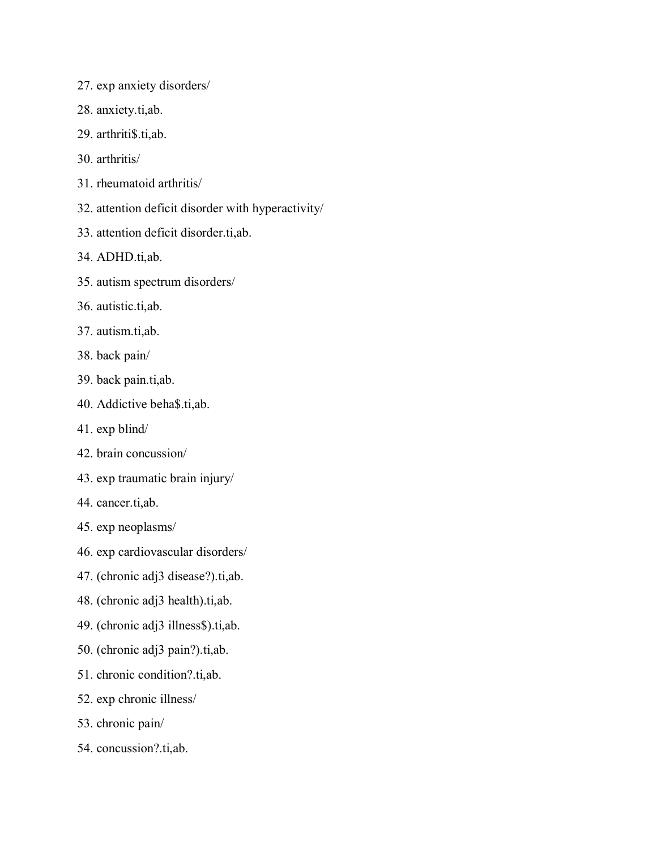- 27. exp anxiety disorders/
- 28. anxiety.ti,ab.
- 29. arthriti\$.ti,ab.
- 30. arthritis/
- 31. rheumatoid arthritis/
- 32. attention deficit disorder with hyperactivity/
- 33. attention deficit disorder.ti,ab.
- 34. ADHD.ti,ab.
- 35. autism spectrum disorders/
- 36. autistic.ti,ab.
- 37. autism.ti,ab.
- 38. back pain/
- 39. back pain.ti,ab.
- 40. Addictive beha\$.ti,ab.
- 41. exp blind/
- 42. brain concussion/
- 43. exp traumatic brain injury/
- 44. cancer.ti,ab.
- 45. exp neoplasms/
- 46. exp cardiovascular disorders/
- 47. (chronic adj3 disease?).ti,ab.
- 48. (chronic adj3 health).ti,ab.
- 49. (chronic adj3 illness\$).ti,ab.
- 50. (chronic adj3 pain?).ti,ab.
- 51. chronic condition?.ti,ab.
- 52. exp chronic illness/
- 53. chronic pain/
- 54. concussion?.ti,ab.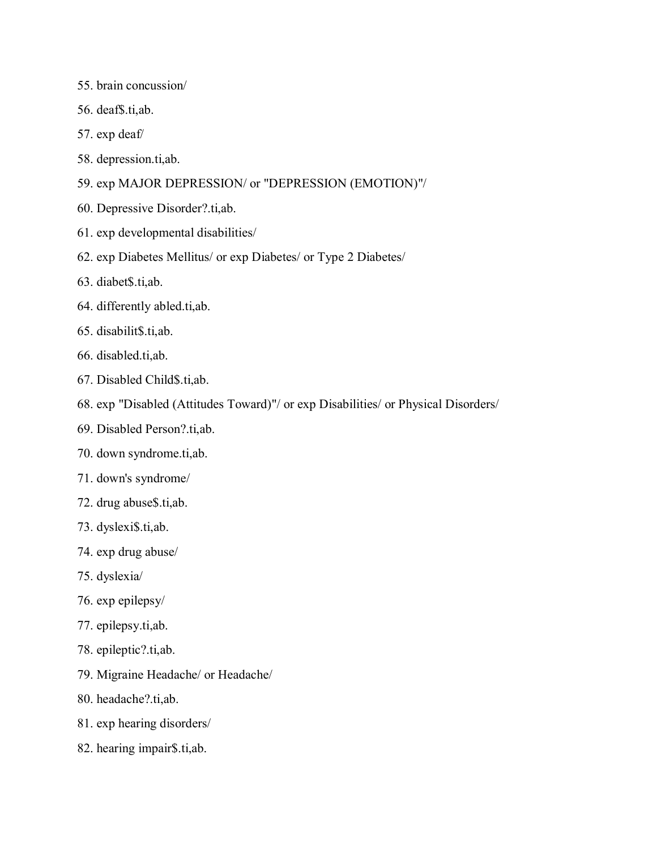- 55. brain concussion/
- 56. deaf\$.ti,ab.
- 57. exp deaf/
- 58. depression.ti,ab.
- 59. exp MAJOR DEPRESSION/ or "DEPRESSION (EMOTION)"/
- 60. Depressive Disorder?.ti,ab.
- 61. exp developmental disabilities/
- 62. exp Diabetes Mellitus/ or exp Diabetes/ or Type 2 Diabetes/
- 63. diabet\$.ti,ab.
- 64. differently abled.ti,ab.
- 65. disabilit\$.ti,ab.
- 66. disabled.ti,ab.
- 67. Disabled Child\$.ti,ab.
- 68. exp "Disabled (Attitudes Toward)"/ or exp Disabilities/ or Physical Disorders/
- 69. Disabled Person?.ti,ab.
- 70. down syndrome.ti,ab.
- 71. down's syndrome/
- 72. drug abuse\$.ti,ab.
- 73. dyslexi\$.ti,ab.
- 74. exp drug abuse/
- 75. dyslexia/
- 76. exp epilepsy/
- 77. epilepsy.ti,ab.
- 78. epileptic?.ti,ab.
- 79. Migraine Headache/ or Headache/
- 80. headache?.ti,ab.
- 81. exp hearing disorders/
- 82. hearing impair\$.ti,ab.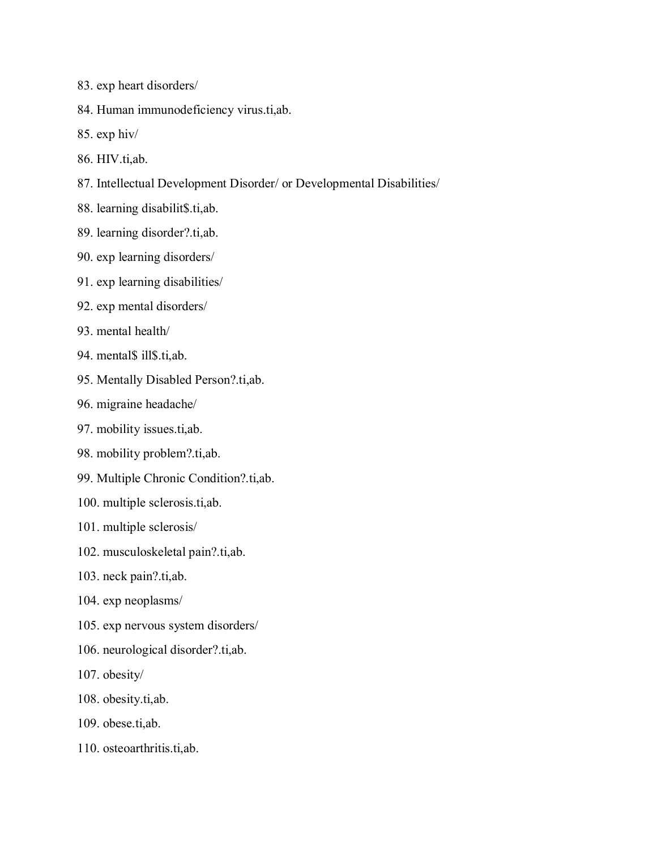- 83. exp heart disorders/
- 84. Human immunodeficiency virus.ti,ab.
- 85. exp hiv/
- 86. HIV.ti,ab.
- 87. Intellectual Development Disorder/ or Developmental Disabilities/
- 88. learning disabilit\$.ti,ab.
- 89. learning disorder?.ti,ab.
- 90. exp learning disorders/
- 91. exp learning disabilities/
- 92. exp mental disorders/
- 93. mental health/
- 94. mental\$ ill\$.ti,ab.
- 95. Mentally Disabled Person?.ti,ab.
- 96. migraine headache/
- 97. mobility issues.ti,ab.
- 98. mobility problem?.ti,ab.
- 99. Multiple Chronic Condition?.ti,ab.
- 100. multiple sclerosis.ti,ab.
- 101. multiple sclerosis/
- 102. musculoskeletal pain?.ti,ab.
- 103. neck pain?.ti,ab.
- 104. exp neoplasms/
- 105. exp nervous system disorders/
- 106. neurological disorder?.ti,ab.
- 107. obesity/
- 108. obesity.ti,ab.
- 109. obese.ti,ab.
- 110. osteoarthritis.ti,ab.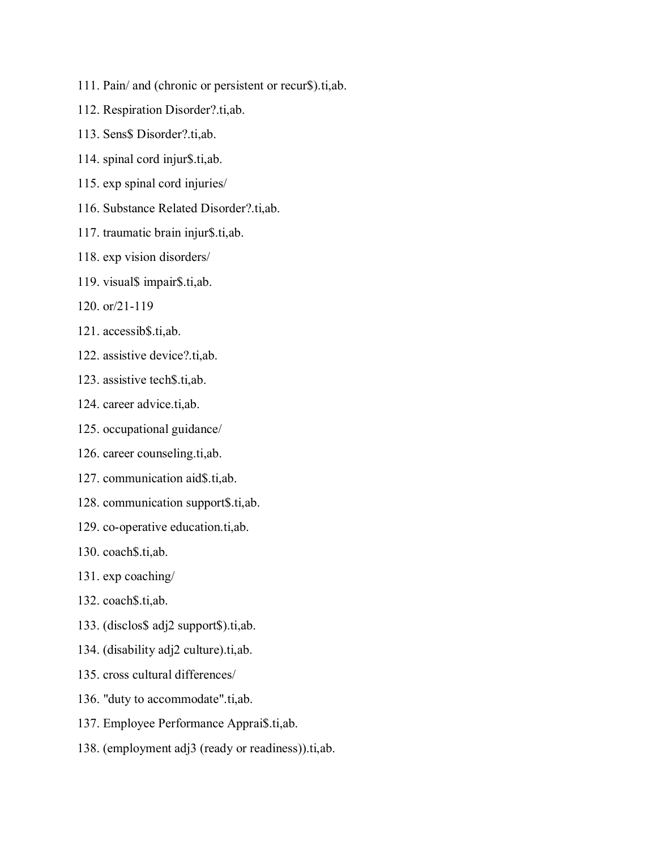- 111. Pain/ and (chronic or persistent or recur\$).ti,ab.
- 112. Respiration Disorder?.ti,ab.
- 113. Sens\$ Disorder?.ti,ab.
- 114. spinal cord injur\$.ti,ab.
- 115. exp spinal cord injuries/
- 116. Substance Related Disorder?.ti,ab.
- 117. traumatic brain injur\$.ti,ab.
- 118. exp vision disorders/
- 119. visual\$ impair\$.ti,ab.
- 120. or/21-119
- 121. accessib\$.ti,ab.
- 122. assistive device?.ti,ab.
- 123. assistive tech\$.ti,ab.
- 124. career advice.ti,ab.
- 125. occupational guidance/
- 126. career counseling.ti,ab.
- 127. communication aid\$.ti,ab.
- 128. communication support\$.ti,ab.
- 129. co-operative education.ti,ab.
- 130. coach\$.ti,ab.
- 131. exp coaching/
- 132. coach\$.ti,ab.
- 133. (disclos\$ adj2 support\$).ti,ab.
- 134. (disability adj2 culture).ti,ab.
- 135. cross cultural differences/
- 136. "duty to accommodate".ti,ab.
- 137. Employee Performance Apprai\$.ti,ab.
- 138. (employment adj3 (ready or readiness)).ti,ab.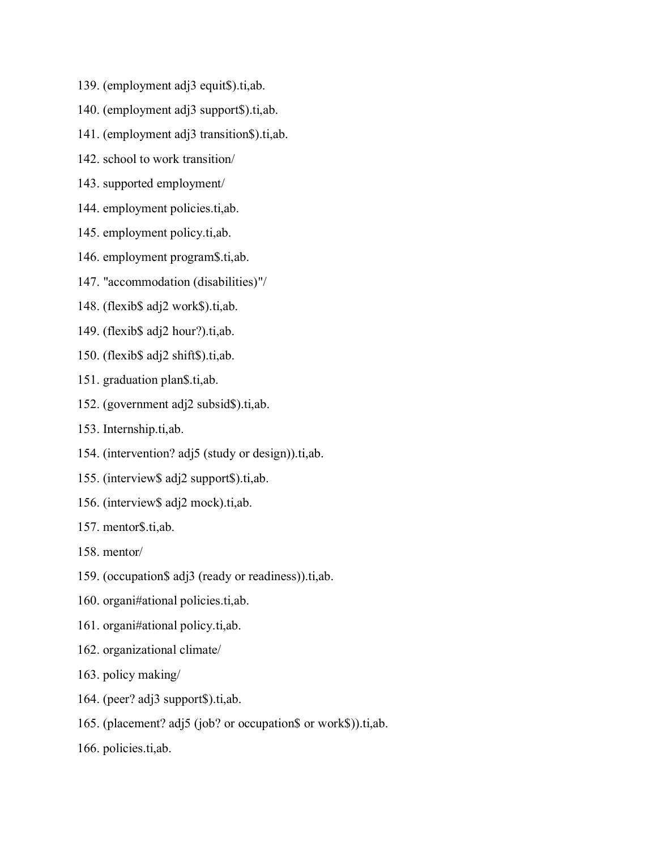- 139. (employment adj3 equit\$).ti,ab.
- 140. (employment adj3 support\$).ti,ab.
- 141. (employment adj3 transition\$).ti,ab.
- 142. school to work transition/
- 143. supported employment/
- 144. employment policies.ti,ab.
- 145. employment policy.ti,ab.
- 146. employment program\$.ti,ab.
- 147. "accommodation (disabilities)"/
- 148. (flexib\$ adj2 work\$).ti,ab.
- 149. (flexib\$ adj2 hour?).ti,ab.
- 150. (flexib\$ adj2 shift\$).ti,ab.
- 151. graduation plan\$.ti,ab.
- 152. (government adj2 subsid\$).ti,ab.
- 153. Internship.ti,ab.
- 154. (intervention? adj5 (study or design)).ti,ab.
- 155. (interview\$ adj2 support\$).ti,ab.
- 156. (interview\$ adj2 mock).ti,ab.
- 157. mentor\$.ti,ab.
- 158. mentor/
- 159. (occupation\$ adj3 (ready or readiness)).ti,ab.
- 160. organi#ational policies.ti,ab.
- 161. organi#ational policy.ti,ab.
- 162. organizational climate/
- 163. policy making/
- 164. (peer? adj3 support\$).ti,ab.
- 165. (placement? adj5 (job? or occupation\$ or work\$)).ti,ab.
- 166. policies.ti,ab.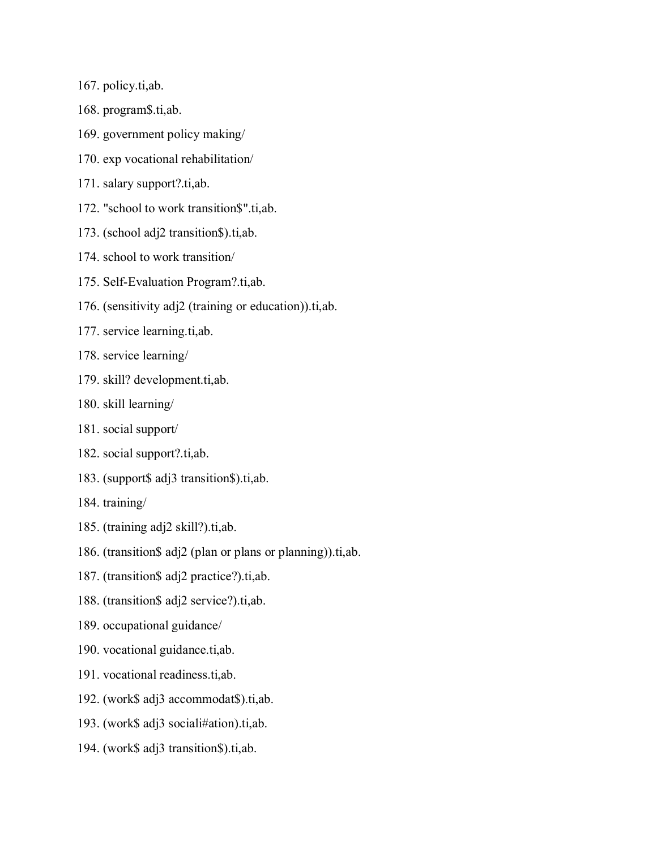- 167. policy.ti,ab.
- 168. program\$.ti,ab.
- 169. government policy making/
- 170. exp vocational rehabilitation/
- 171. salary support?.ti,ab.
- 172. "school to work transition\$".ti,ab.
- 173. (school adj2 transition\$).ti,ab.
- 174. school to work transition/
- 175. Self-Evaluation Program?.ti,ab.
- 176. (sensitivity adj2 (training or education)).ti,ab.
- 177. service learning.ti,ab.
- 178. service learning/
- 179. skill? development.ti,ab.
- 180. skill learning/
- 181. social support/
- 182. social support?.ti,ab.
- 183. (support\$ adj3 transition\$).ti,ab.
- 184. training/
- 185. (training adj2 skill?).ti,ab.
- 186. (transition\$ adj2 (plan or plans or planning)).ti,ab.
- 187. (transition\$ adj2 practice?).ti,ab.
- 188. (transition\$ adj2 service?).ti,ab.
- 189. occupational guidance/
- 190. vocational guidance.ti,ab.
- 191. vocational readiness.ti,ab.
- 192. (work\$ adj3 accommodat\$).ti,ab.
- 193. (work\$ adj3 sociali#ation).ti,ab.
- 194. (work\$ adj3 transition\$).ti,ab.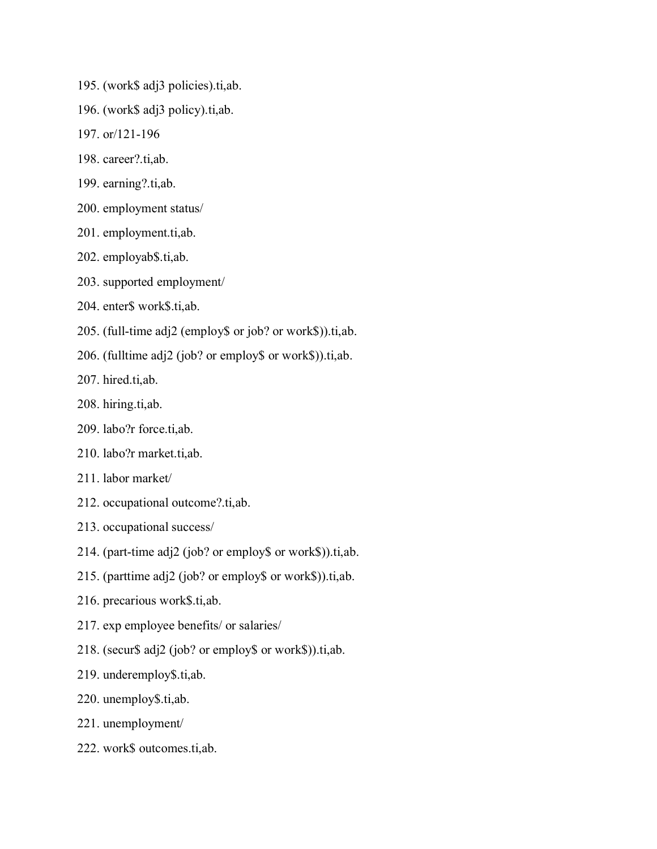- 195. (work\$ adj3 policies).ti,ab.
- 196. (work\$ adj3 policy).ti,ab.
- 197. or/121-196
- 198. career?.ti,ab.
- 199. earning?.ti,ab.
- 200. employment status/
- 201. employment.ti,ab.
- 202. employab\$.ti,ab.
- 203. supported employment/
- 204. enter\$ work\$.ti,ab.
- 205. (full-time adj2 (employ\$ or job? or work\$)).ti,ab.
- 206. (fulltime adj2 (job? or employ\$ or work\$)).ti,ab.
- 207. hired.ti,ab.
- 208. hiring.ti,ab.
- 209. labo?r force.ti,ab.
- 210. labo?r market.ti,ab.
- 211. labor market/
- 212. occupational outcome?.ti,ab.
- 213. occupational success/
- 214. (part-time adj2 (job? or employ\$ or work\$)).ti,ab.
- 215. (parttime adj2 (job? or employ\$ or work\$)).ti,ab.
- 216. precarious work\$.ti,ab.
- 217. exp employee benefits/ or salaries/
- 218. (secur\$ adj2 (job? or employ\$ or work\$)).ti,ab.
- 219. underemploy\$.ti,ab.
- 220. unemploy\$.ti,ab.
- 221. unemployment/
- 222. work\$ outcomes.ti,ab.